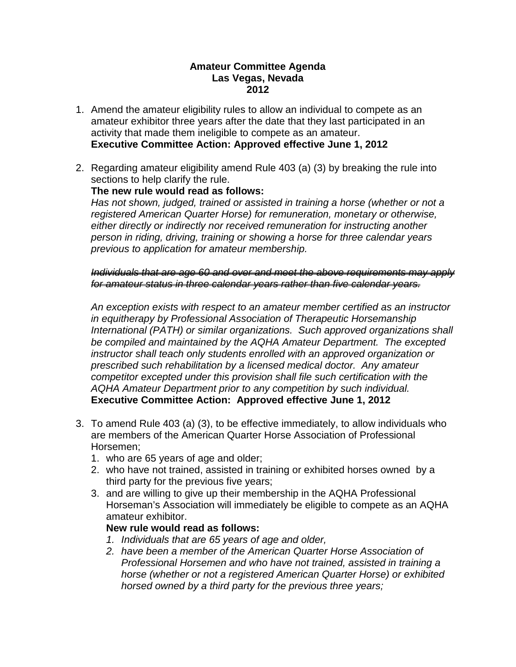### **Amateur Committee Agenda Las Vegas, Nevada 2012**

- 1. Amend the amateur eligibility rules to allow an individual to compete as an amateur exhibitor three years after the date that they last participated in an activity that made them ineligible to compete as an amateur. **Executive Committee Action: Approved effective June 1, 2012**
- 2. Regarding amateur eligibility amend Rule 403 (a) (3) by breaking the rule into sections to help clarify the rule.

# **The new rule would read as follows:**

*Has not shown, judged, trained or assisted in training a horse (whether or not a registered American Quarter Horse) for remuneration, monetary or otherwise, either directly or indirectly nor received remuneration for instructing another person in riding, driving, training or showing a horse for three calendar years previous to application for amateur membership.*

*Individuals that are age 60 and over and meet the above requirements may apply for amateur status in three calendar years rather than five calendar years.* 

*An exception exists with respect to an amateur member certified as an instructor in equitherapy by Professional Association of Therapeutic Horsemanship International (PATH) or similar organizations. Such approved organizations shall be compiled and maintained by the AQHA Amateur Department. The excepted instructor shall teach only students enrolled with an approved organization or prescribed such rehabilitation by a licensed medical doctor. Any amateur competitor excepted under this provision shall file such certification with the AQHA Amateur Department prior to any competition by such individual.* **Executive Committee Action: Approved effective June 1, 2012**

- 3. To amend Rule 403 (a) (3), to be effective immediately, to allow individuals who are members of the American Quarter Horse Association of Professional Horsemen;
	- 1. who are 65 years of age and older;
	- 2. who have not trained, assisted in training or exhibited horses owned by a third party for the previous five years;
	- 3. and are willing to give up their membership in the AQHA Professional Horseman's Association will immediately be eligible to compete as an AQHA amateur exhibitor.

### **New rule would read as follows:**

- *1. Individuals that are 65 years of age and older,*
- *2. have been a member of the American Quarter Horse Association of Professional Horsemen and who have not trained, assisted in training a horse (whether or not a registered American Quarter Horse) or exhibited horsed owned by a third party for the previous three years;*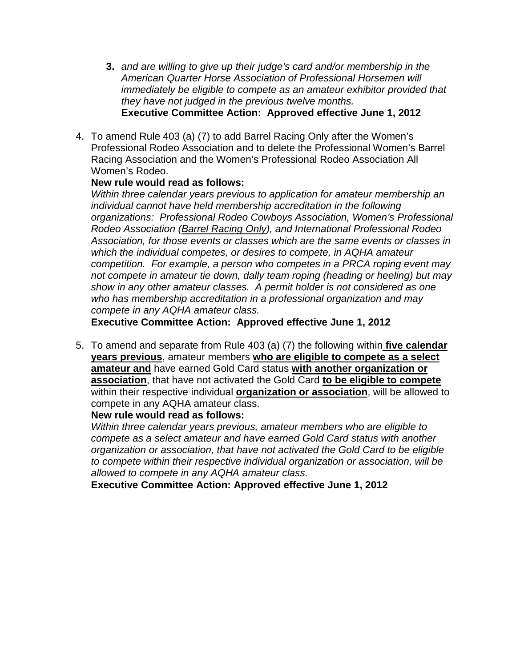- **3.** *and are willing to give up their judge's card and/or membership in the American Quarter Horse Association of Professional Horsemen will immediately be eligible to compete as an amateur exhibitor provided that they have not judged in the previous twelve months.* **Executive Committee Action: Approved effective June 1, 2012**
- 4. To amend Rule 403 (a) (7) to add Barrel Racing Only after the Women's Professional Rodeo Association and to delete the Professional Women's Barrel Racing Association and the Women's Professional Rodeo Association All Women's Rodeo.

## **New rule would read as follows:**

*Within three calendar years previous to application for amateur membership an individual cannot have held membership accreditation in the following organizations: Professional Rodeo Cowboys Association, Women's Professional Rodeo Association (Barrel Racing Only), and International Professional Rodeo Association, for those events or classes which are the same events or classes in which the individual competes, or desires to compete, in AQHA amateur competition. For example, a person who competes in a PRCA roping event may not compete in amateur tie down, dally team roping (heading or heeling) but may show in any other amateur classes. A permit holder is not considered as one who has membership accreditation in a professional organization and may compete in any AQHA amateur class.*

**Executive Committee Action: Approved effective June 1, 2012**

5. To amend and separate from Rule 403 (a) (7) the following within **five calendar years previous**, amateur members **who are eligible to compete as a select amateur and** have earned Gold Card status **with another organization or association**, that have not activated the Gold Card **to be eligible to compete** within their respective individual **organization or association**, will be allowed to compete in any AQHA amateur class.

### **New rule would read as follows:**

*Within three calendar years previous, amateur members who are eligible to compete as a select amateur and have earned Gold Card status with another organization or association, that have not activated the Gold Card to be eligible to compete within their respective individual organization or association, will be allowed to compete in any AQHA amateur class.*

**Executive Committee Action: Approved effective June 1, 2012**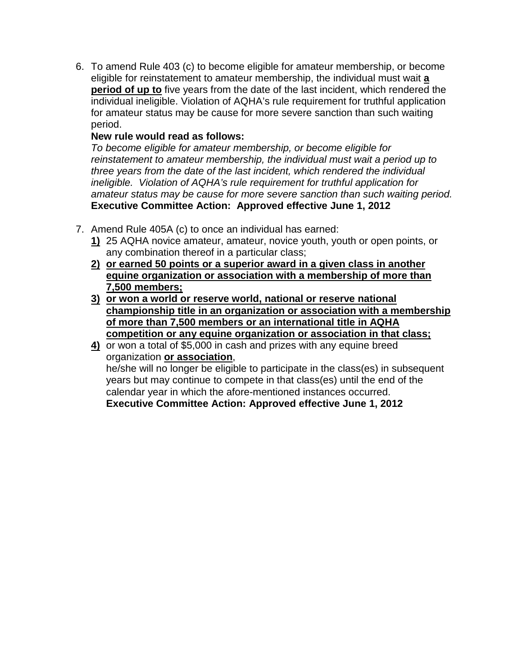6. To amend Rule 403 (c) to become eligible for amateur membership, or become eligible for reinstatement to amateur membership, the individual must wait **a period of up to** five years from the date of the last incident, which rendered the individual ineligible. Violation of AQHA's rule requirement for truthful application for amateur status may be cause for more severe sanction than such waiting period.

# **New rule would read as follows:**

*To become eligible for amateur membership, or become eligible for reinstatement to amateur membership, the individual must wait a period up to three years from the date of the last incident, which rendered the individual ineligible. Violation of AQHA's rule requirement for truthful application for amateur status may be cause for more severe sanction than such waiting period.* **Executive Committee Action: Approved effective June 1, 2012**

- 7. Amend Rule 405A (c) to once an individual has earned:
	- **1)** 25 AQHA novice amateur, amateur, novice youth, youth or open points, or any combination thereof in a particular class;
	- **2) or earned 50 points or a superior award in a given class in another equine organization or association with a membership of more than 7,500 members;**
	- **3) or won a world or reserve world, national or reserve national championship title in an organization or association with a membership of more than 7,500 members or an international title in AQHA competition or any equine organization or association in that class;**
	- **4)** or won a total of \$5,000 in cash and prizes with any equine breed organization **or association**, he/she will no longer be eligible to participate in the class(es) in subsequent years but may continue to compete in that class(es) until the end of the calendar year in which the afore-mentioned instances occurred. **Executive Committee Action: Approved effective June 1, 2012**